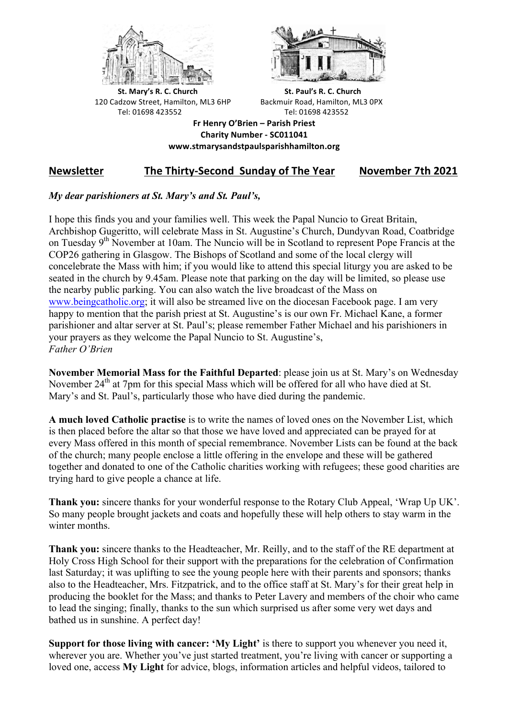



**St.** Mary's R. C. Church St. Paul's R. C. Church 120 Cadzow Street, Hamilton, ML3 6HP Backmuir Road, Hamilton, ML3 0PX Tel: 01698 423552 Tel: 01698 423552

**Fr Henry O'Brien – Parish Priest Charity Number - SC011041 www.stmarysandstpaulsparishhamilton.org**

# **Newsletter** The Thirty-Second Sunday of The Year November 7th 2021

### *My dear parishioners at St. Mary's and St. Paul's,*

I hope this finds you and your families well. This week the Papal Nuncio to Great Britain, Archbishop Gugeritto, will celebrate Mass in St. Augustine's Church, Dundyvan Road, Coatbridge on Tuesday 9<sup>th</sup> November at 10am. The Nuncio will be in Scotland to represent Pope Francis at the COP26 gathering in Glasgow. The Bishops of Scotland and some of the local clergy will concelebrate the Mass with him; if you would like to attend this special liturgy you are asked to be seated in the church by 9.45am. Please note that parking on the day will be limited, so please use the nearby public parking. You can also watch the live broadcast of the Mass on www.beingcatholic.org; it will also be streamed live on the diocesan Facebook page. I am very happy to mention that the parish priest at St. Augustine's is our own Fr. Michael Kane, a former parishioner and altar server at St. Paul's; please remember Father Michael and his parishioners in your prayers as they welcome the Papal Nuncio to St. Augustine's, *Father O'Brien*

**November Memorial Mass for the Faithful Departed**: please join us at St. Mary's on Wednesday November 24<sup>th</sup> at 7pm for this special Mass which will be offered for all who have died at St. Mary's and St. Paul's, particularly those who have died during the pandemic.

**A much loved Catholic practise** is to write the names of loved ones on the November List, which is then placed before the altar so that those we have loved and appreciated can be prayed for at every Mass offered in this month of special remembrance. November Lists can be found at the back of the church; many people enclose a little offering in the envelope and these will be gathered together and donated to one of the Catholic charities working with refugees; these good charities are trying hard to give people a chance at life.

**Thank you:** sincere thanks for your wonderful response to the Rotary Club Appeal, 'Wrap Up UK'. So many people brought jackets and coats and hopefully these will help others to stay warm in the winter months.

**Thank you:** sincere thanks to the Headteacher, Mr. Reilly, and to the staff of the RE department at Holy Cross High School for their support with the preparations for the celebration of Confirmation last Saturday; it was uplifting to see the young people here with their parents and sponsors; thanks also to the Headteacher, Mrs. Fitzpatrick, and to the office staff at St. Mary's for their great help in producing the booklet for the Mass; and thanks to Peter Lavery and members of the choir who came to lead the singing; finally, thanks to the sun which surprised us after some very wet days and bathed us in sunshine. A perfect day!

**Support for those living with cancer: 'My Light'** is there to support you whenever you need it, wherever you are. Whether you've just started treatment, you're living with cancer or supporting a loved one, access **My Light** for advice, blogs, information articles and helpful videos, tailored to